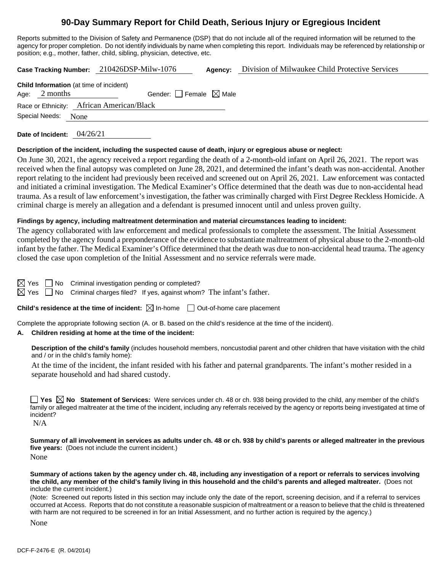# **90-Day Summary Report for Child Death, Serious Injury or Egregious Incident**

Reports submitted to the Division of Safety and Permanence (DSP) that do not include all of the required information will be returned to the agency for proper completion. Do not identify individuals by name when completing this report. Individuals may be referenced by relationship or position; e.g., mother, father, child, sibling, physician, detective, etc.

**Case Tracking Number:** 210426DSP-Milw-1076 **Agency:** Division of Milwaukee Child Protective Services

**Child Information** (at time of incident) Age:  $2$  months Gender: Female  $\boxtimes$  Male

Race or Ethnicity: African American/Black

Special Needs: None

**Date of Incident:** 04/26/21

#### **Description of the incident, including the suspected cause of death, injury or egregious abuse or neglect:**

On June 30, 2021, the agency received a report regarding the death of a 2-month-old infant on April 26, 2021. The report was received when the final autopsy was completed on June 28, 2021, and determined the infant's death was non-accidental. Another report relating to the incident had previously been received and screened out on April 26, 2021. Law enforcement was contacted and initiated a criminal investigation. The Medical Examiner's Office determined that the death was due to non-accidental head trauma. As a result of law enforcement's investigation, the father was criminally charged with First Degree Reckless Homicide. A criminal charge is merely an allegation and a defendant is presumed innocent until and unless proven guilty.

#### **Findings by agency, including maltreatment determination and material circumstances leading to incident:**

The agency collaborated with law enforcement and medical professionals to complete the assessment. The Initial Assessment completed by the agency found a preponderance of the evidence to substantiate maltreatment of physical abuse to the 2-month-old infant by the father. The Medical Examiner's Office determined that the death was due to non-accidental head trauma. The agency closed the case upon completion of the Initial Assessment and no service referrals were made.

 $\boxtimes$  Yes  $\Box$  No Criminal investigation pending or completed?

 $\boxtimes$  Yes  $\Box$  No Criminal charges filed? If yes, against whom? The infant's father.

## **Child's residence at the time of incident:**  $\boxtimes$  In-home  $\Box$  Out-of-home care placement

Complete the appropriate following section (A. or B. based on the child's residence at the time of the incident).

## **A. Children residing at home at the time of the incident:**

**Description of the child's family** (includes household members, noncustodial parent and other children that have visitation with the child and / or in the child's family home):

At the time of the incident, the infant resided with his father and paternal grandparents. The infant's mother resided in a separate household and had shared custody.

■ Yes **No** Statement of Services: Were services under ch. 48 or ch. 938 being provided to the child, any member of the child's family or alleged maltreater at the time of the incident, including any referrals received by the agency or reports being investigated at time of incident?

N/A

**Summary of all involvement in services as adults under ch. 48 or ch. 938 by child's parents or alleged maltreater in the previous five years:** (Does not include the current incident.) None

**Summary of actions taken by the agency under ch. 48, including any investigation of a report or referrals to services involving the child, any member of the child's family living in this household and the child's parents and alleged maltreater.** (Does not include the current incident.)

(Note: Screened out reports listed in this section may include only the date of the report, screening decision, and if a referral to services occurred at Access. Reports that do not constitute a reasonable suspicion of maltreatment or a reason to believe that the child is threatened with harm are not required to be screened in for an Initial Assessment, and no further action is required by the agency.)

None